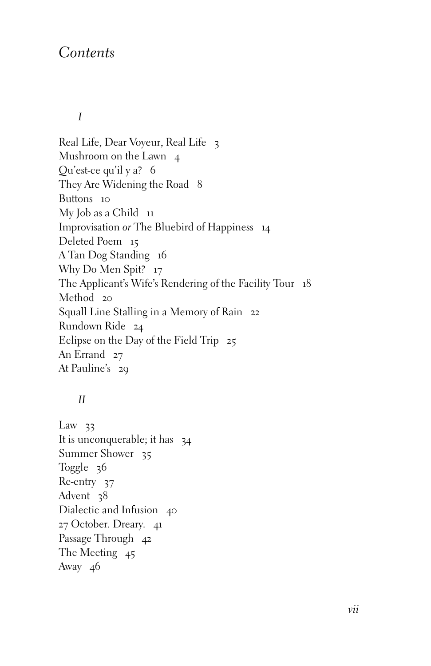## *Contents*

*I*

Real Life, Dear Voyeur, Real Life 3 Mushroom on the Lawn 4 Qu'est-ce qu'il y a? 6 They Are Widening the Road 8 Buttons 10 My Job as a Child 11 Improvisation *or* The Bluebird of Happiness 14 Deleted Poem 15 A Tan Dog Standing 16 Why Do Men Spit? 17 The Applicant's Wife's Rendering of the Facility Tour 18 Method 20 Squall Line Stalling in a Memory of Rain 22 Rundown Ride 24 Eclipse on the Day of the Field Trip 25 An Errand 27 At Pauline's 29

## *II*

Law  $33$ It is unconquerable; it has  $34$ Summer Shower 35 Toggle 36 Re-entry 37 Advent 38 Dialectic and Infusion 40 27 October. Dreary. 41 Passage Through 42 The Meeting 45 Away 46